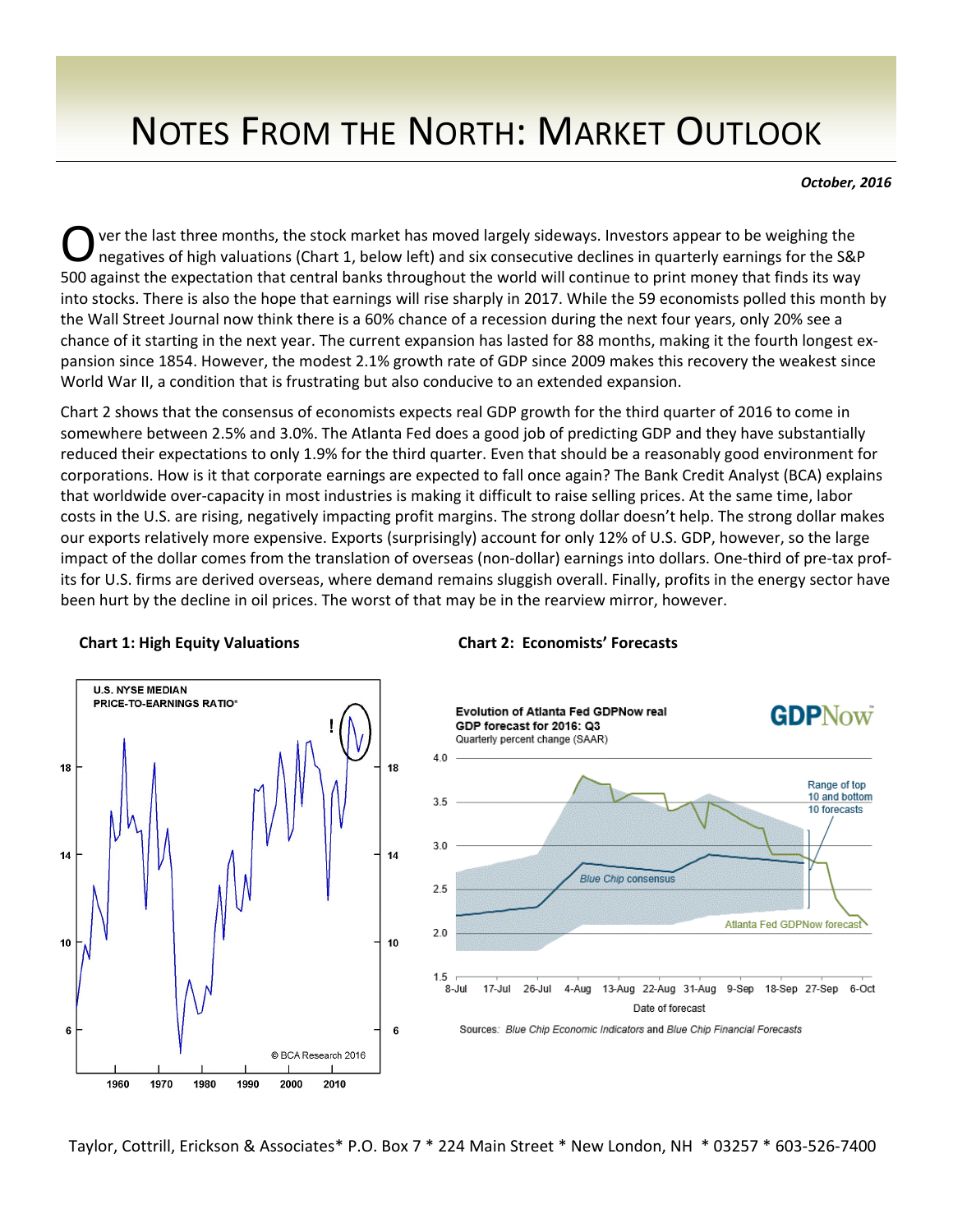## NOTES FROM THE NORTH: MARKET OUTLOOK

*October, 2016* 

O ver the last three months, the stock market has moved largely sideways. Investors appear to be weighing the negatives of high valuations (Chart 1, below left) and six consecutive declines in quarterly earnings for the S& 500 against the expectation that central banks throughout the world will continue to print money that finds its way into stocks. There is also the hope that earnings will rise sharply in 2017. While the 59 economists polled this month by the Wall Street Journal now think there is a 60% chance of a recession during the next four years, only 20% see a chance of it starting in the next year. The current expansion has lasted for 88 months, making it the fourth longest expansion since 1854. However, the modest 2.1% growth rate of GDP since 2009 makes this recovery the weakest since World War II, a condition that is frustrating but also conducive to an extended expansion.

Chart 2 shows that the consensus of economists expects real GDP growth for the third quarter of 2016 to come in somewhere between 2.5% and 3.0%. The Atlanta Fed does a good job of predicting GDP and they have substantially reduced their expectations to only 1.9% for the third quarter. Even that should be a reasonably good environment for corporations. How is it that corporate earnings are expected to fall once again? The Bank Credit Analyst (BCA) explains that worldwide over-capacity in most industries is making it difficult to raise selling prices. At the same time, labor costs in the U.S. are rising, negatively impacting profit margins. The strong dollar doesn't help. The strong dollar makes our exports relatively more expensive. Exports (surprisingly) account for only 12% of U.S. GDP, however, so the large impact of the dollar comes from the translation of overseas (non-dollar) earnings into dollars. One-third of pre-tax profits for U.S. firms are derived overseas, where demand remains sluggish overall. Finally, profits in the energy sector have been hurt by the decline in oil prices. The worst of that may be in the rearview mirror, however.



## **Chart 1: High Equity Valuations Chart 2: Economists' Forecasts**



Taylor, Cottrill, Erickson & Associates\* P.O. Box 7 \* 224 Main Street \* New London, NH \* 03257 \* 603-526-7400